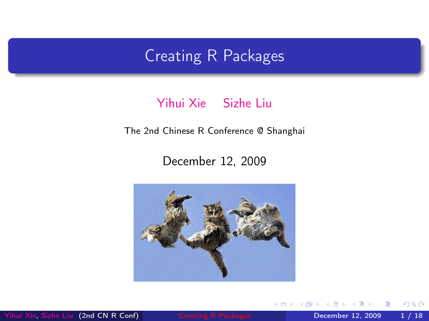# Creating R Packages

#### [Yihui Xie](http://yihui.name) [Sizhe Liu](http://www.bjt.name)

The 2nd Chinese R Conference @ Shanghai

#### December 12, 2009



[Yihui Xie,](http://yihui.name) [Sizhe Liu](http://www.bjt.name) (2nd CN R Conf) [Creating R Packages](#page-20-0) December 12, 2009 1 / 18

 $\blacksquare$ 

<span id="page-0-0"></span> $QQ$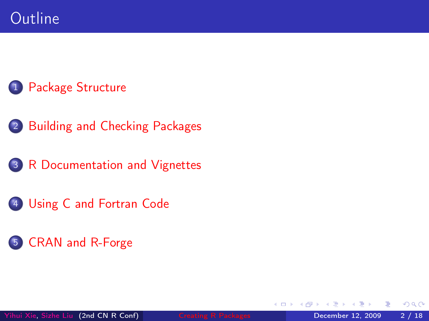- [Building and Checking Packages](#page-5-0)
- [R Documentation and Vignettes](#page-8-0)
- [Using C and Fortran Code](#page-14-0)
- [CRAN and R-Forge](#page-17-0)

4 D F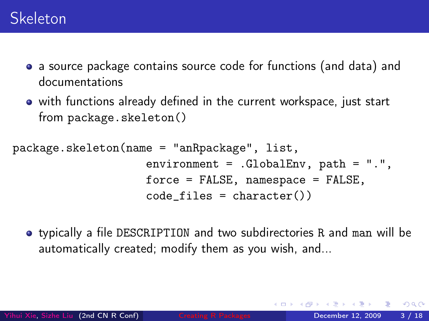- a source package contains source code for functions (and data) and documentations
- with functions already defined in the current workspace, just start from package.skeleton()

```
package.skeleton(name = "anRpackage", list,
                    environment = .GlobalEnv, path = ".force = FALSE, namespace = FALSE,
                    code_files = character())
```
<span id="page-2-0"></span>typically a file DESCRIPTION and two subdirectories R and man will be automatically created; modify them as you wish, and...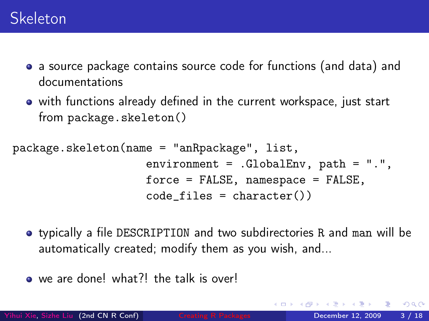- a source package contains source code for functions (and data) and documentations
- with functions already defined in the current workspace, just start from package.skeleton()

```
package.skeleton(name = "anRpackage", list,
                    environment = .GlobalEnv, path = ".force = FALSE, namespace = FALSE,
                    code_files = character())
```
- typically a file DESCRIPTION and two subdirectories R and man will be automatically created; modify them as you wish, and...
- we are done! what?! the talk is over!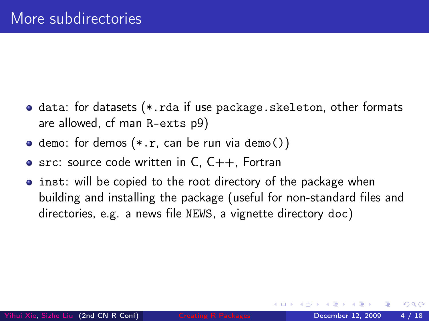- **o** data: for datasets (\*.rda if use package.skeleton, other formats are allowed, cf man R-exts p9)
- $\bullet$  demo: for demos  $(*.r.$  can be run via demo())
- $\bullet$  src: source code written in C, C++, Fortran
- **•** inst: will be copied to the root directory of the package when building and installing the package (useful for non-standard files and directories, e.g. a news file NEWS, a vignette directory doc)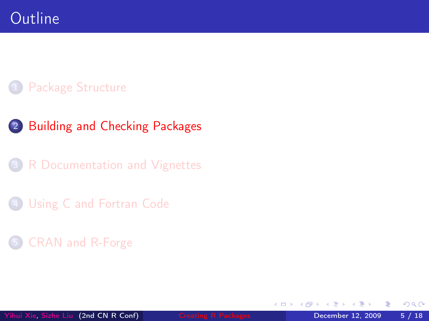- 2 [Building and Checking Packages](#page-5-0)
- [R Documentation and Vignettes](#page-8-0)
- [Using C and Fortran Code](#page-14-0)
- 5 [CRAN and R-Forge](#page-17-0)

<span id="page-5-0"></span>4 D F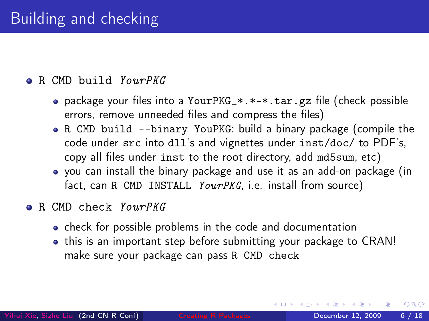#### **B.** CMD build *YourPKG*

- package your files into a YourPKG\_\*.\*-\*.tar.gz file (check possible errors, remove unneeded files and compress the files)
- R CMD build --binary YouPKG: build a binary package (compile the code under src into dll's and vignettes under inst/doc/ to PDF's, copy all files under inst to the root directory, add md5sum, etc)
- you can install the binary package and use it as an add-on package (in fact, can R CMD INSTALL YourPKG, i.e. install from source)
- **e** R CMD check *YourPKG* 
	- check for possible problems in the code and documentation
	- this is an important step before submitting your package to CRAN! make sure your package can pass R CMD check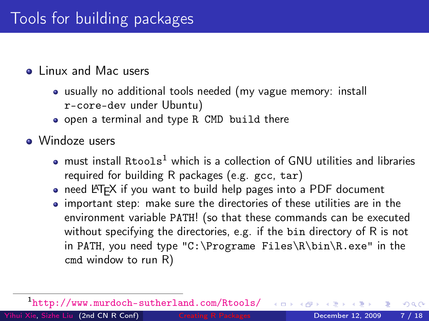#### • Linux and Mac users

- usually no additional tools needed (my vague memory: install r-core-dev under Ubuntu)
- open a terminal and type R CMD build there

• Windoze users

- $\bullet$  must install Rtools<sup>1</sup> which is a collection of GNU utilities and libraries required for building R packages (e.g. gcc, tar)
- need LATFX if you want to build help pages into a PDF document
- important step: make sure the directories of these utilities are in the environment variable PATH! (so that these commands can be executed without specifying the directories, e.g. if the bin directory of R is not in PATH, you need type "C:\Programe Files\R\bin\R.exe" in the cmd window to run R)

1 <http://www.murdoch-sutherland.com/Rtools/>

[Yihui Xie,](http://yihui.name) [Sizhe Liu](http://www.bjt.name) (2nd CN R Conf) [Creating R Packages](#page-0-0) December 12, 2009 7 / 18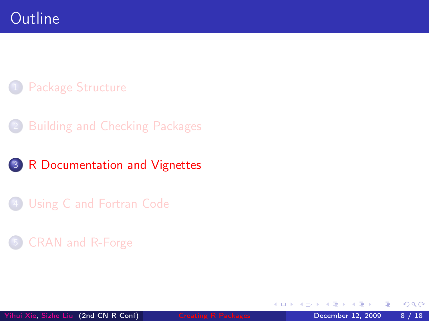- **[Building and Checking Packages](#page-5-0)**
- 3 [R Documentation and Vignettes](#page-8-0)
- [Using C and Fortran Code](#page-14-0)

### 5 [CRAN and R-Forge](#page-17-0)

4 D F

<span id="page-8-0"></span> $QQ$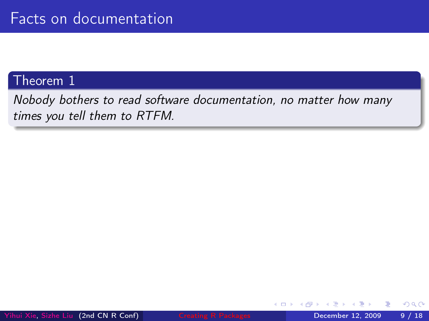#### Theorem 1

Nobody bothers to read software documentation, no matter how many times you tell them to RTFM.

∢⊡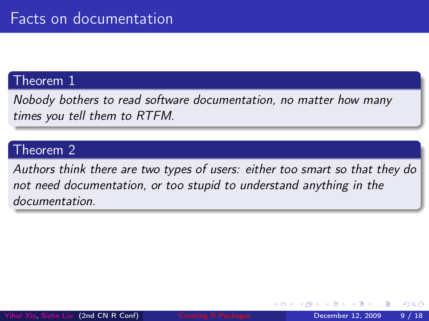#### Theorem 1

Nobody bothers to read software documentation, no matter how many times you tell them to RTFM.

### Theorem 2

Authors think there are two types of users: either too smart so that they do not need documentation, or too stupid to understand anything in the documentation.

つひひ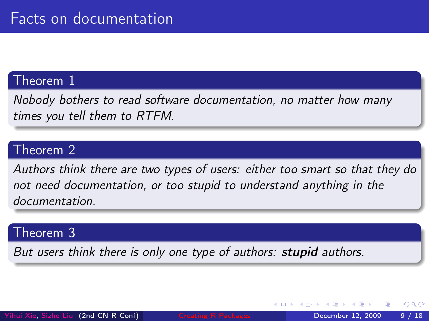#### Theorem 1

Nobody bothers to read software documentation, no matter how many times you tell them to RTFM.

### Theorem 2

Authors think there are two types of users: either too smart so that they do not need documentation, or too stupid to understand anything in the documentation.

#### Theorem 3

But users think there is only one type of authors: **stupid** authors.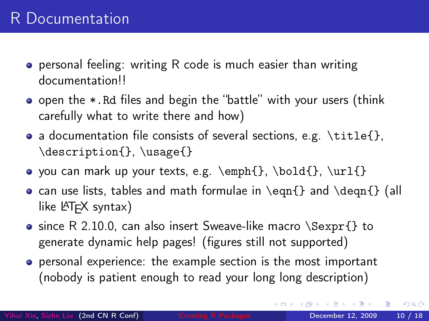- personal feeling: writing R code is much easier than writing documentation!!
- open the \*.Rd files and begin the "battle" with your users (think carefully what to write there and how)
- a documentation file consists of several sections, e.g.  $\tilde{}$  \title{}, \description{}, \usage{}
- you can mark up your texts, e.g.  $\emptyset$ ,  $\boldsymbol{\{\}, \bar{\} \}$
- can use lists, tables and math formulae in  $\eqref{}$  and  $\deg_{1}$  (all like  $\langle \text{ATF} \times \text{syntax} \rangle$
- $\bullet$  since R 2.10.0, can also insert Sweave-like macro \Sexpr{} to generate dynamic help pages! (figures still not supported)
- personal experience: the example section is the most important (nobody is patient enough to read your long long description)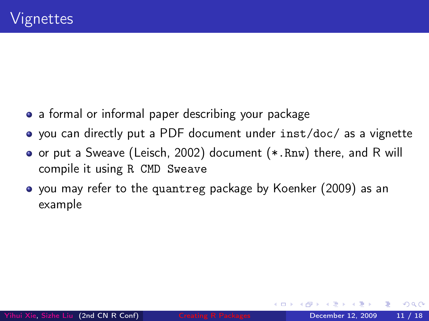- a formal or informal paper describing your package
- you can directly put a PDF document under inst/doc/ as a vignette
- or put a Sweave (Leisch, 2002) document (\*.Rnw) there, and R will compile it using R CMD Sweave
- you may refer to the quantreg package by Koenker (2009) as an example

つひひ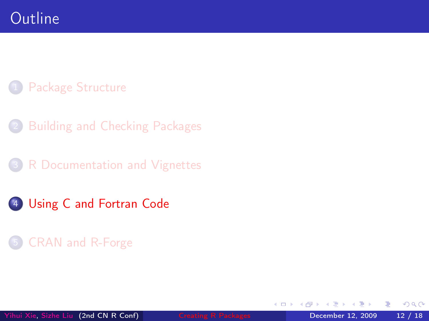- [Building and Checking Packages](#page-5-0)
- [R Documentation and Vignettes](#page-8-0)
- 4 [Using C and Fortran Code](#page-14-0)

### 5 [CRAN and R-Forge](#page-17-0)

<span id="page-14-0"></span>4 D F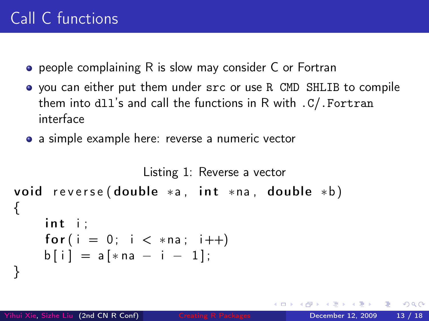- **•** people complaining R is slow may consider C or Fortran
- you can either put them under src or use R CMD SHLIB to compile them into dll's and call the functions in R with .C/.Fortran interface
- a simple example here: reverse a numeric vector

```
Listing 1: Reverse a vector
void reverse (double * a, int * n a, double * b)
{
    int i:
    for (i = 0; i < *na; i++)b[i] = a[*na - i - 1];}
```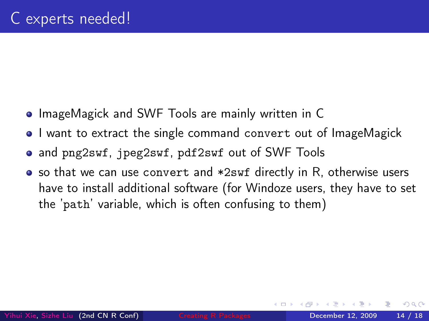- **ImageMagick and SWF Tools are mainly written in C**
- I want to extract the single command convert out of ImageMagick
- and png2swf, jpeg2swf, pdf2swf out of SWF Tools
- so that we can use convert and \*2swf directly in R, otherwise users have to install additional software (for Windoze users, they have to set the 'path' variable, which is often confusing to them)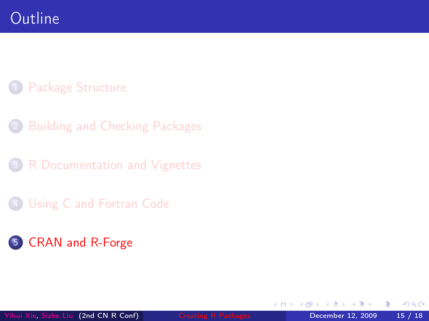- [Building and Checking Packages](#page-5-0)
- [R Documentation and Vignettes](#page-8-0)
- [Using C and Fortran Code](#page-14-0)

## 5 [CRAN and R-Forge](#page-17-0)

4 D F

<span id="page-17-0"></span> $QQ$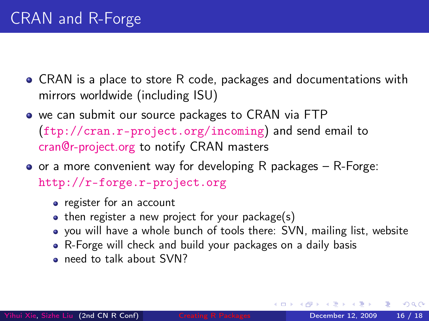- CRAN is a place to store R code, packages and documentations with mirrors worldwide (including ISU)
- we can submit our source packages to CRAN via FTP (<ftp://cran.r-project.org/incoming>) and send email to [cran@r-project.org](mailto:cran@r-project.org) to notify CRAN masters
- $\bullet$  or a more convenient way for developing R packages R-Forge: <http://r-forge.r-project.org>
	- register for an account
	- $\bullet$  then register a new project for your package(s)
	- you will have a whole bunch of tools there: SVN, mailing list, website
	- R-Forge will check and build your packages on a daily basis
	- **e** need to talk about SVN?

つひひ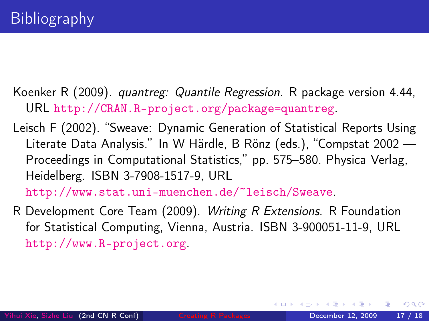- Koenker R (2009). quantreg: Quantile Regression. R package version 4.44, URL <http://CRAN.R-project.org/package=quantreg>.
- Leisch F (2002). "Sweave: Dynamic Generation of Statistical Reports Using Literate Data Analysis." In W Härdle, B Rönz (eds.), "Compstat 2002 — Proceedings in Computational Statistics," pp. 575–580. Physica Verlag, Heidelberg. ISBN 3-7908-1517-9, URL

<http://www.stat.uni-muenchen.de/~leisch/Sweave>.

R Development Core Team (2009). Writing R Extensions. R Foundation for Statistical Computing, Vienna, Austria. ISBN 3-900051-11-9, URL <http://www.R-project.org>.